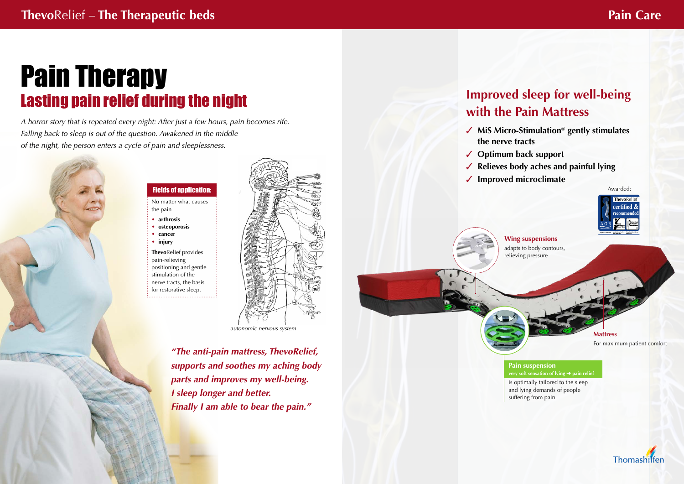# Pain Therapy Lasting pain relief during the night

*A horror story that is repeated every night: After just a few hours, pain becomes rife. Falling back to sleep is out of the question. Awakened in the middle of the night, the person enters a cycle of pain and sleeplessness.*



## **Improved sleep for well-being with the Pain Mattress**

**MiS Micro-Stimulation® gently stimulates** 

**Optimum back support**

- **the nerve tracts**
- 
- 
- **Improved microclimate**

**Relieves body aches and painful lying**

**Pain suspension** *very soft sensation of lying → pain relief* 

*"The anti-pain mattress, ThevoRelief, supports and soothes my aching body parts and improves my well-being. I sleep longer and better. Finally I am able to bear the pain."*

No matter what causes the pain

- **• arthrosis**
- **• osteoporosis**
- **• cancer**
- **• injury**

**Thevo**Relief provides pain-relieving positioning and gentle stimulation of the nerve tracts, the basis for restorative sleep.



### Fields of application:

*autonomic nervous system*

**Wing suspensions** adapts to body contours, relieving pressure

**Mattress** For maximum patient comfort

is optimally tailored to the sleep and lying demands of people suffering from pain



Awarded: